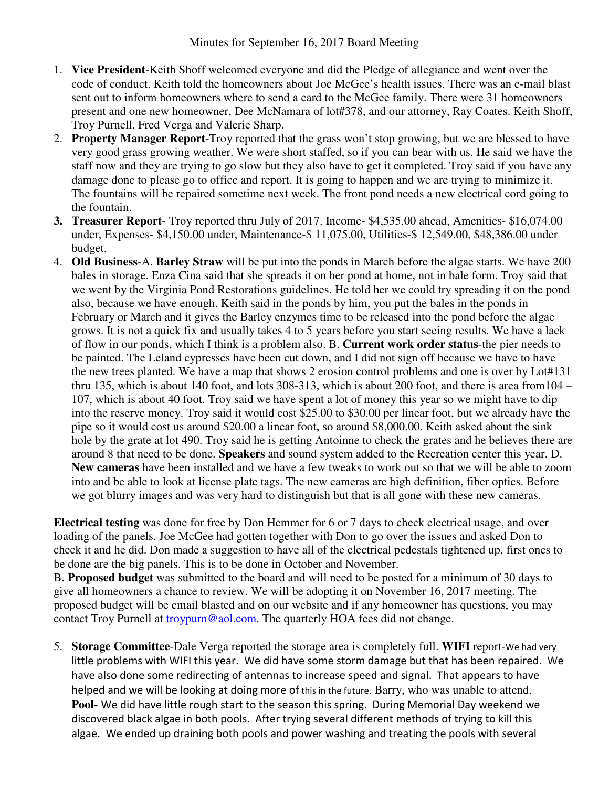- 1. **Vice President**-Keith Shoff welcomed everyone and did the Pledge of allegiance and went over the code of conduct. Keith told the homeowners about Joe McGee's health issues. There was an e-mail blast sent out to inform homeowners where to send a card to the McGee family. There were 31 homeowners present and one new homeowner, Dee McNamara of lot#378, and our attorney, Ray Coates. Keith Shoff, Troy Purnell, Fred Verga and Valerie Sharp.
- 2. **Property Manager Report**-Troy reported that the grass won't stop growing, but we are blessed to have very good grass growing weather. We were short staffed, so if you can bear with us. He said we have the staff now and they are trying to go slow but they also have to get it completed. Troy said if you have any damage done to please go to office and report. It is going to happen and we are trying to minimize it. The fountains will be repaired sometime next week. The front pond needs a new electrical cord going to the fountain.
- **3. Treasurer Report** Troy reported thru July of 2017. Income- \$4,535.00 ahead, Amenities- \$16,074.00 under, Expenses- \$4,150.00 under, Maintenance-\$ 11,075.00, Utilities-\$ 12,549.00, \$48,386.00 under budget.
- 4. **Old Business**-A. **Barley Straw** will be put into the ponds in March before the algae starts. We have 200 bales in storage. Enza Cina said that she spreads it on her pond at home, not in bale form. Troy said that we went by the Virginia Pond Restorations guidelines. He told her we could try spreading it on the pond also, because we have enough. Keith said in the ponds by him, you put the bales in the ponds in February or March and it gives the Barley enzymes time to be released into the pond before the algae grows. It is not a quick fix and usually takes 4 to 5 years before you start seeing results. We have a lack of flow in our ponds, which I think is a problem also. B. **Current work order status**-the pier needs to be painted. The Leland cypresses have been cut down, and I did not sign off because we have to have the new trees planted. We have a map that shows 2 erosion control problems and one is over by Lot#131 thru 135, which is about 140 foot, and lots 308-313, which is about 200 foot, and there is area from104 – 107, which is about 40 foot. Troy said we have spent a lot of money this year so we might have to dip into the reserve money. Troy said it would cost \$25.00 to \$30.00 per linear foot, but we already have the pipe so it would cost us around \$20.00 a linear foot, so around \$8,000.00. Keith asked about the sink hole by the grate at lot 490. Troy said he is getting Antoinne to check the grates and he believes there are around 8 that need to be done. **Speakers** and sound system added to the Recreation center this year. D. **New cameras** have been installed and we have a few tweaks to work out so that we will be able to zoom into and be able to look at license plate tags. The new cameras are high definition, fiber optics. Before we got blurry images and was very hard to distinguish but that is all gone with these new cameras.

**Electrical testing** was done for free by Don Hemmer for 6 or 7 days to check electrical usage, and over loading of the panels. Joe McGee had gotten together with Don to go over the issues and asked Don to check it and he did. Don made a suggestion to have all of the electrical pedestals tightened up, first ones to be done are the big panels. This is to be done in October and November.

B. **Proposed budget** was submitted to the board and will need to be posted for a minimum of 30 days to give all homeowners a chance to review. We will be adopting it on November 16, 2017 meeting. The proposed budget will be email blasted and on our website and if any homeowner has questions, you may contact Troy Purnell at troypurn@aol.com. The quarterly HOA fees did not change.

5. **Storage Committee**-Dale Verga reported the storage area is completely full. **WIFI** report-We had very little problems with WIFI this year. We did have some storm damage but that has been repaired. We have also done some redirecting of antennas to increase speed and signal. That appears to have helped and we will be looking at doing more of this in the future. Barry, who was unable to attend. **Pool-** We did have little rough start to the season this spring. During Memorial Day weekend we discovered black algae in both pools. After trying several different methods of trying to kill this algae. We ended up draining both pools and power washing and treating the pools with several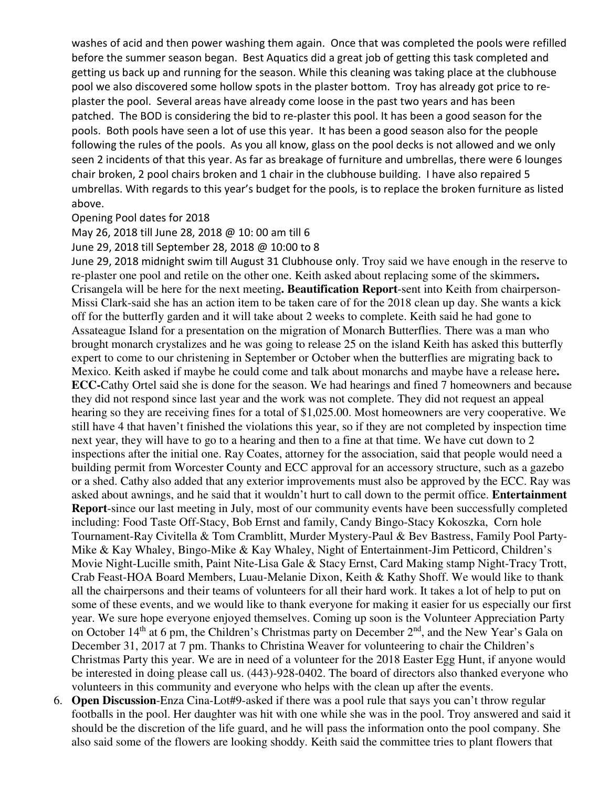washes of acid and then power washing them again. Once that was completed the pools were refilled before the summer season began. Best Aquatics did a great job of getting this task completed and getting us back up and running for the season. While this cleaning was taking place at the clubhouse pool we also discovered some hollow spots in the plaster bottom. Troy has already got price to replaster the pool. Several areas have already come loose in the past two years and has been patched. The BOD is considering the bid to re-plaster this pool. It has been a good season for the pools. Both pools have seen a lot of use this year. It has been a good season also for the people following the rules of the pools. As you all know, glass on the pool decks is not allowed and we only seen 2 incidents of that this year. As far as breakage of furniture and umbrellas, there were 6 lounges chair broken, 2 pool chairs broken and 1 chair in the clubhouse building. I have also repaired 5 umbrellas. With regards to this year's budget for the pools, is to replace the broken furniture as listed above.

## Opening Pool dates for 2018

## May 26, 2018 till June 28, 2018 @ 10: 00 am till 6

June 29, 2018 till September 28, 2018 @ 10:00 to 8

June 29, 2018 midnight swim till August 31 Clubhouse only. Troy said we have enough in the reserve to re-plaster one pool and retile on the other one. Keith asked about replacing some of the skimmers**.**  Crisangela will be here for the next meeting**. Beautification Report**-sent into Keith from chairperson-Missi Clark-said she has an action item to be taken care of for the 2018 clean up day. She wants a kick off for the butterfly garden and it will take about 2 weeks to complete. Keith said he had gone to Assateague Island for a presentation on the migration of Monarch Butterflies. There was a man who brought monarch crystalizes and he was going to release 25 on the island Keith has asked this butterfly expert to come to our christening in September or October when the butterflies are migrating back to Mexico. Keith asked if maybe he could come and talk about monarchs and maybe have a release here**. ECC-**Cathy Ortel said she is done for the season. We had hearings and fined 7 homeowners and because they did not respond since last year and the work was not complete. They did not request an appeal hearing so they are receiving fines for a total of \$1,025.00. Most homeowners are very cooperative. We still have 4 that haven't finished the violations this year, so if they are not completed by inspection time next year, they will have to go to a hearing and then to a fine at that time. We have cut down to 2 inspections after the initial one. Ray Coates, attorney for the association, said that people would need a building permit from Worcester County and ECC approval for an accessory structure, such as a gazebo or a shed. Cathy also added that any exterior improvements must also be approved by the ECC. Ray was asked about awnings, and he said that it wouldn't hurt to call down to the permit office. **Entertainment Report**-since our last meeting in July, most of our community events have been successfully completed including: Food Taste Off-Stacy, Bob Ernst and family, Candy Bingo-Stacy Kokoszka, Corn hole Tournament-Ray Civitella & Tom Cramblitt, Murder Mystery-Paul & Bev Bastress, Family Pool Party-Mike & Kay Whaley, Bingo-Mike & Kay Whaley, Night of Entertainment-Jim Petticord, Children's Movie Night-Lucille smith, Paint Nite-Lisa Gale & Stacy Ernst, Card Making stamp Night-Tracy Trott, Crab Feast-HOA Board Members, Luau-Melanie Dixon, Keith & Kathy Shoff. We would like to thank all the chairpersons and their teams of volunteers for all their hard work. It takes a lot of help to put on some of these events, and we would like to thank everyone for making it easier for us especially our first year. We sure hope everyone enjoyed themselves. Coming up soon is the Volunteer Appreciation Party on October 14<sup>th</sup> at 6 pm, the Children's Christmas party on December 2<sup>nd</sup>, and the New Year's Gala on December 31, 2017 at 7 pm. Thanks to Christina Weaver for volunteering to chair the Children's Christmas Party this year. We are in need of a volunteer for the 2018 Easter Egg Hunt, if anyone would be interested in doing please call us. (443)-928-0402. The board of directors also thanked everyone who volunteers in this community and everyone who helps with the clean up after the events.

6. **Open Discussion**-Enza Cina-Lot#9-asked if there was a pool rule that says you can't throw regular footballs in the pool. Her daughter was hit with one while she was in the pool. Troy answered and said it should be the discretion of the life guard, and he will pass the information onto the pool company. She also said some of the flowers are looking shoddy. Keith said the committee tries to plant flowers that